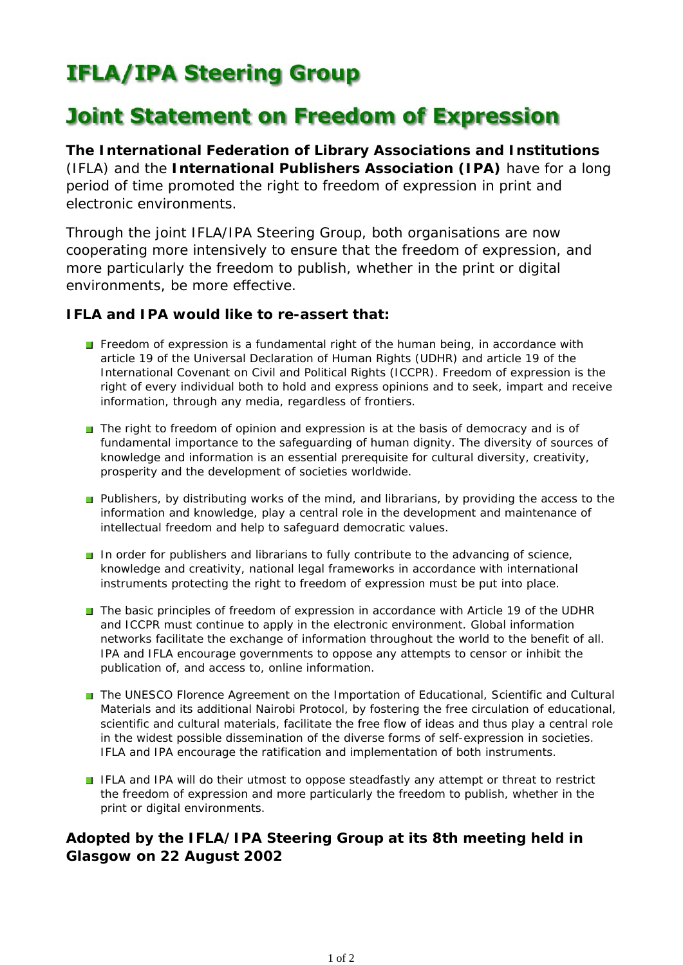## **IFLA/IPA Steering Group**

## **Joint Statement on Freedom of Expression**

**The International Federation of Library Associations and Institutions** (IFLA) and the **International Publishers Association (IPA)** have for a long period of time promoted the right to freedom of expression in print and electronic environments.

Through the joint IFLA/IPA Steering Group, both organisations are now cooperating more intensively to ensure that the freedom of expression, and more particularly the freedom to publish, whether in the print or digital environments, be more effective.

## **IFLA and IPA would like to re-assert that:**

- Freedom of expression is a fundamental right of the human being, in accordance with article 19 of the Universal Declaration of Human Rights (UDHR) and article 19 of the International Covenant on Civil and Political Rights (ICCPR). Freedom of expression is the right of every individual both to hold and express opinions and to seek, impart and receive information, through any media, regardless of frontiers.
- The right to freedom of opinion and expression is at the basis of democracy and is of fundamental importance to the safeguarding of human dignity. The diversity of sources of knowledge and information is an essential prerequisite for cultural diversity, creativity, prosperity and the development of societies worldwide.
- **Publishers, by distributing works of the mind, and librarians, by providing the access to the** information and knowledge, play a central role in the development and maintenance of intellectual freedom and help to safeguard democratic values.
- In order for publishers and librarians to fully contribute to the advancing of science, knowledge and creativity, national legal frameworks in accordance with international instruments protecting the right to freedom of expression must be put into place.
- The basic principles of freedom of expression in accordance with Article 19 of the UDHR and ICCPR must continue to apply in the electronic environment. Global information networks facilitate the exchange of information throughout the world to the benefit of all. IPA and IFLA encourage governments to oppose any attempts to censor or inhibit the publication of, and access to, online information.
- The UNESCO Florence Agreement on the Importation of Educational, Scientific and Cultural Materials and its additional Nairobi Protocol, by fostering the free circulation of educational, scientific and cultural materials, facilitate the free flow of ideas and thus play a central role in the widest possible dissemination of the diverse forms of self-expression in societies. IFLA and IPA encourage the ratification and implementation of both instruments.
- IFLA and IPA will do their utmost to oppose steadfastly any attempt or threat to restrict the freedom of expression and more particularly the freedom to publish, whether in the print or digital environments.

## **Adopted by the IFLA/IPA Steering Group at its 8th meeting held in Glasgow on 22 August 2002**